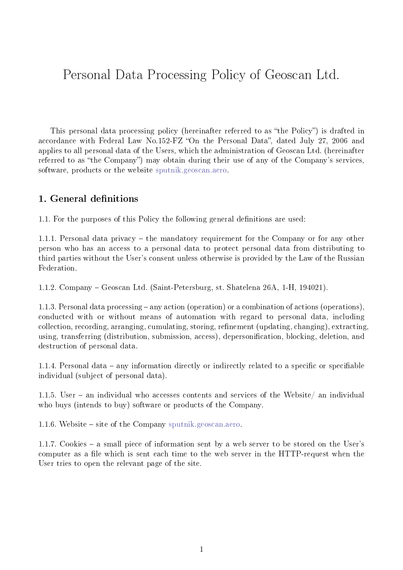# Personal Data Processing Policy of Geoscan Ltd.

This personal data processing policy (hereinafter referred to as "the Policy") is drafted in accordance with Federal Law No.152-FZ "On the Personal Data", dated July 27, 2006 and applies to all personal data of the Users, which the administration of Geoscan Ltd. (hereinafter referred to as "the Company") may obtain during their use of any of the Company's services, software, products or the website [sputnik.geoscan.aero.](https://sputnik.geoscan.aero)

#### 1. General definitions

1.1. For the purposes of this Policy the following general definitions are used:

1.1.1. Personal data privacy – the mandatory requirement for the Company or for any other person who has an access to a personal data to protect personal data from distributing to third parties without the User's consent unless otherwise is provided by the Law of the Russian Federation.

1.1.2. Company – Geoscan Ltd. (Saint-Petersburg, st. Shatelena 26A, 1-H, 194021).

1.1.3. Personal data processing – any action (operation) or a combination of actions (operations), conducted with or without means of automation with regard to personal data, including collection, recording, arranging, cumulating, storing, refinement (updating, changing), extracting, using, transferring (distribution, submission, access), depersonification, blocking, deletion, and destruction of personal data.

1.1.4. Personal data – any information directly or indirectly related to a specific or specifiable individual (subject of personal data).

1.1.5. User – an individual who accesses contents and services of the Website/ an individual who buys (intends to buy) software or products of the Company.

1.1.6. Website – site of the Company [sputnik.geoscan.aero.](https://sputnik.geoscan.aero)

1.1.7. Cookies – a small piece of information sent by a web server to be stored on the User's computer as a file which is sent each time to the web server in the HTTP-request when the User tries to open the relevant page of the site.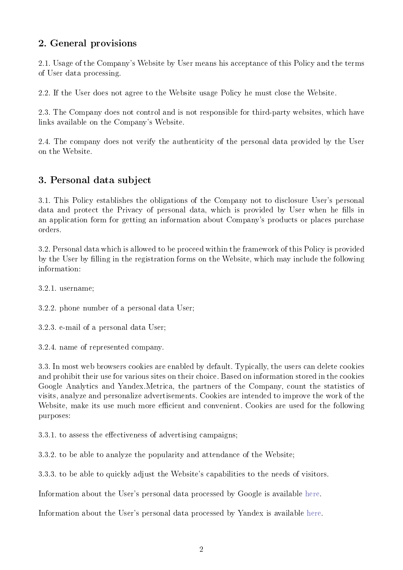#### 2. General provisions

2.1. Usage of the Company's Website by User means his acceptance of this Policy and the terms of User data processing.

2.2. If the User does not agree to the Website usage Policy he must close the Website.

2.3. The Company does not control and is not responsible for third-party websites, which have links available on the Company's Website.

2.4. The company does not verify the authenticity of the personal data provided by the User on the Website.

### 3. Personal data subject

3.1. This Policy establishes the obligations of the Company not to disclosure User's personal data and protect the Privacy of personal data, which is provided by User when he fills in an application form for getting an information about Company's products or places purchase orders.

3.2. Personal data which is allowed to be proceed within the framework of this Policy is provided by the User by filling in the registration forms on the Website, which may include the following information:

3.2.1. username;

3.2.2. phone number of a personal data User;

3.2.3. e-mail of a personal data User;

3.2.4. name of represented company.

3.3. In most web browsers cookies are enabled by default. Typically, the users can delete cookies and prohibit their use for various sites on their choice. Based on information stored in the cookies Google Analytics and Yandex.Metrica, the partners of the Company, count the statistics of visits, analyze and personalize advertisements. Cookies are intended to improve the work of the Website, make its use much more efficient and convenient. Cookies are used for the following purposes:

3.3.1. to assess the effectiveness of advertising campaigns;

3.3.2. to be able to analyze the popularity and attendance of the Website;

3.3.3. to be able to quickly adjust the Website's capabilities to the needs of visitors.

Information about the User's personal data processed by Google is available [here.](https://www.google.com/intl/ru/policies/privacy/partners/)

Information about the User's personal data processed by Yandex is available [here.](https://yandex.ru/legal/confidential/)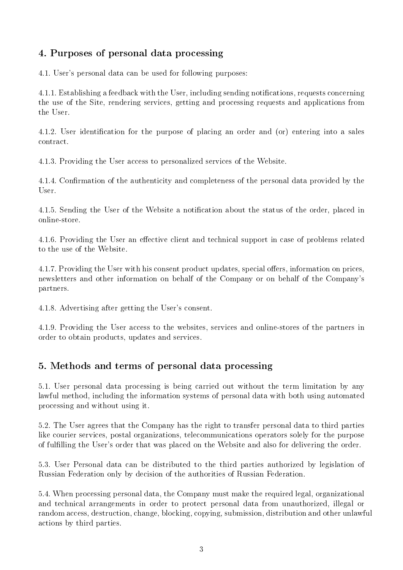### <span id="page-2-0"></span>4. Purposes of personal data processing

4.1. User's personal data can be used for following purposes:

4.1.1. Establishing a feedback with the User, including sending notifications, requests concerning the use of the Site, rendering services, getting and processing requests and applications from the User.

4.1.2. User identification for the purpose of placing an order and (or) entering into a sales contract.

4.1.3. Providing the User access to personalized services of the Website.

4.1.4. Confirmation of the authenticity and completeness of the personal data provided by the User.

4.1.5. Sending the User of the Website a notification about the status of the order, placed in online-store.

4.1.6. Providing the User an effective client and technical support in case of problems related to the use of the Website.

4.1.7. Providing the User with his consent product updates, special offers, information on prices, newsletters and other information on behalf of the Company or on behalf of the Company's partners.

4.1.8. Advertising after getting the User's consent.

4.1.9. Providing the User access to the websites, services and online-stores of the partners in order to obtain products, updates and services.

### 5. Methods and terms of personal data processing

5.1. User personal data processing is being carried out without the term limitation by any lawful method, including the information systems of personal data with both using automated processing and without using it.

5.2. The User agrees that the Company has the right to transfer personal data to third parties like courier services, postal organizations, telecommunications operators solely for the purpose of fulfilling the User's order that was placed on the Website and also for delivering the order.

5.3. User Personal data can be distributed to the third parties authorized by legislation of Russian Federation only by decision of the authorities of Russian Federation.

5.4. When processing personal data, the Company must make the required legal, organizational and technical arrangements in order to protect personal data from unauthorized, illegal or random access, destruction, change, blocking, copying, submission, distribution and other unlawful actions by third parties.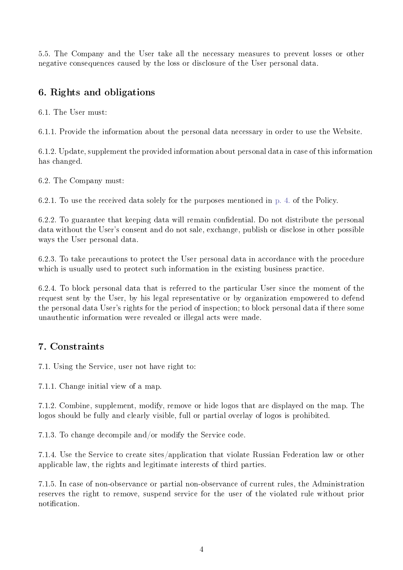5.5. The Company and the User take all the necessary measures to prevent losses or other negative consequences caused by the loss or disclosure of the User personal data.

#### 6. Rights and obligations

6.1. The User must:

6.1.1. Provide the information about the personal data necessary in order to use the Website.

6.1.2. Update, supplement the provided information about personal data in case of this information has changed.

6.2. The Company must:

6.2.1. To use the received data solely for the purposes mentioned in [p. 4.](#page-2-0) of the Policy.

6.2.2. To guarantee that keeping data will remain confidential. Do not distribute the personal data without the User's consent and do not sale, exchange, publish or disclose in other possible ways the User personal data.

6.2.3. To take precautions to protect the User personal data in accordance with the procedure which is usually used to protect such information in the existing business practice.

6.2.4. To block personal data that is referred to the particular User since the moment of the request sent by the User, by his legal representative or by organization empowered to defend the personal data User's rights for the period of inspection; to block personal data if there some unauthentic information were revealed or illegal acts were made.

#### 7. Constraints

7.1. Using the Service, user not have right to:

7.1.1. Change initial view of a map.

7.1.2. Combine, supplement, modify, remove or hide logos that are displayed on the map. The logos should be fully and clearly visible, full or partial overlay of logos is prohibited.

7.1.3. To change decompile and/or modify the Service code.

7.1.4. Use the Service to create sites/application that violate Russian Federation law or other applicable law, the rights and legitimate interests of third parties.

7.1.5. In case of non-observance or partial non-observance of current rules, the Administration reserves the right to remove, suspend service for the user of the violated rule without prior notification.